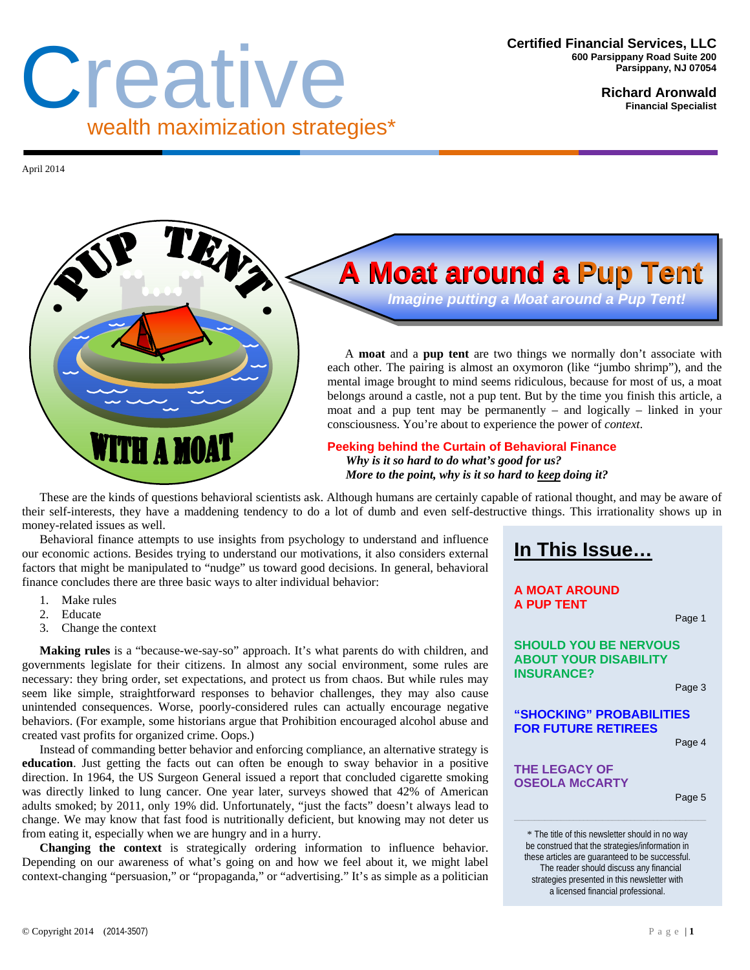# Creative wealth maximization strategies\*

**Richard Aronwald Financial Specialist** 

April 2014



## **A Moat around a Pup Tent A Moat around a Pup Tent**

 *Imagine putting a Moat around a Pup Tent!* 

A **moat** and a **pup tent** are two things we normally don't associate with each other. The pairing is almost an oxymoron (like "jumbo shrimp"), and the mental image brought to mind seems ridiculous, because for most of us, a moat belongs around a castle, not a pup tent. But by the time you finish this article, a moat and a pup tent may be permanently – and logically – linked in your consciousness. You're about to experience the power of *context*.

**Peeking behind the Curtain of Behavioral Finance**   *Why is it so hard to do what's good for us? More to the point, why is it so hard to keep doing it?* 

These are the kinds of questions behavioral scientists ask. Although humans are certainly capable of rational thought, and may be aware of their self-interests, they have a maddening tendency to do a lot of dumb and even self-destructive things. This irrationality shows up in money-related issues as well.

Behavioral finance attempts to use insights from psychology to understand and influence our economic actions. Besides trying to understand our motivations, it also considers external factors that might be manipulated to "nudge" us toward good decisions. In general, behavioral finance concludes there are three basic ways to alter individual behavior:

**In This Issue…**

#### **A MOAT AROUND A PUP TENT**

Page 1

**SHOULD YOU BE NERVOUS ABOUT YOUR DISABILITY INSURANCE?**

Page 3

**"SHOCKING" PROBABILITIES FOR FUTURE RETIREES** 

Page 4

#### **THE LEGACY OF OSEOLA McCARTY**

Page 5

\* The title of this newsletter should in no way be construed that the strategies/information in these articles are guaranteed to be successful. The reader should discuss any financial strategies presented in this newsletter with a licensed financial professional.

3. Change the context **Making rules** is a "because-we-say-so" approach. It's what parents do with children, and

1. Make rules 2. Educate

governments legislate for their citizens. In almost any social environment, some rules are necessary: they bring order, set expectations, and protect us from chaos. But while rules may seem like simple, straightforward responses to behavior challenges, they may also cause unintended consequences. Worse, poorly-considered rules can actually encourage negative behaviors. (For example, some historians argue that Prohibition encouraged alcohol abuse and created vast profits for organized crime. Oops.)

Instead of commanding better behavior and enforcing compliance, an alternative strategy is **education**. Just getting the facts out can often be enough to sway behavior in a positive direction. In 1964, the US Surgeon General issued a report that concluded cigarette smoking was directly linked to lung cancer. One year later, surveys showed that 42% of American adults smoked; by 2011, only 19% did. Unfortunately, "just the facts" doesn't always lead to change. We may know that fast food is nutritionally deficient, but knowing may not deter us from eating it, especially when we are hungry and in a hurry.

**Changing the context** is strategically ordering information to influence behavior. Depending on our awareness of what's going on and how we feel about it, we might label context-changing "persuasion," or "propaganda," or "advertising." It's as simple as a politician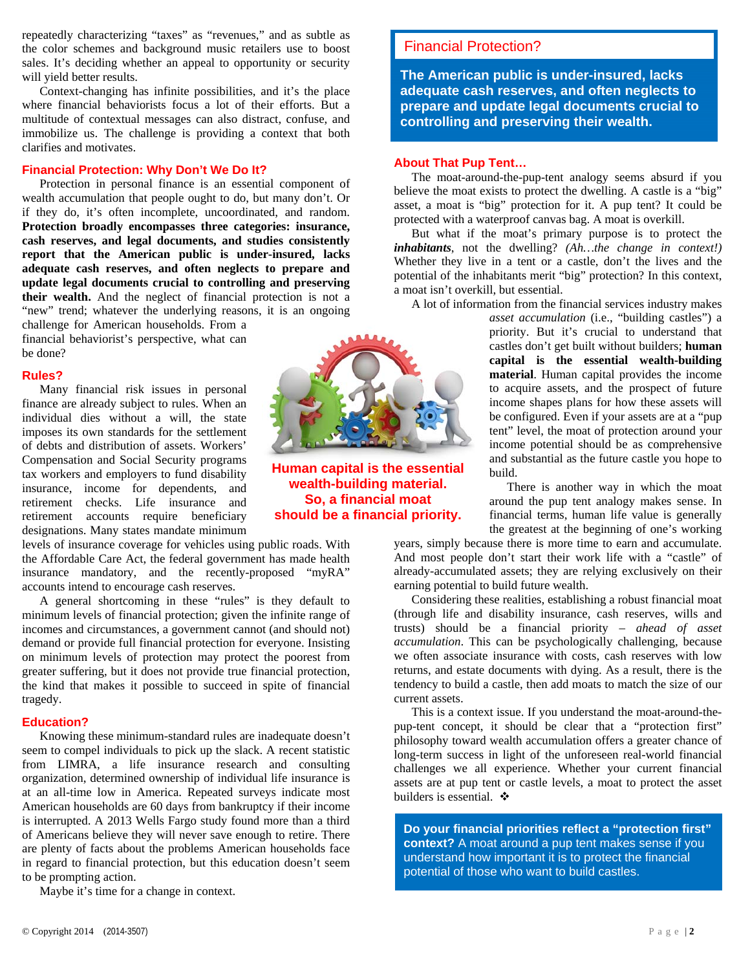repeatedly characterizing "taxes" as "revenues," and as subtle as the color schemes and background music retailers use to boost sales. It's deciding whether an appeal to opportunity or security will yield better results.

Context-changing has infinite possibilities, and it's the place where financial behaviorists focus a lot of their efforts. But a multitude of contextual messages can also distract, confuse, and immobilize us. The challenge is providing a context that both clarifies and motivates.

#### **Financial Protection: Why Don't We Do It?**

Protection in personal finance is an essential component of wealth accumulation that people ought to do, but many don't. Or if they do, it's often incomplete, uncoordinated, and random. **Protection broadly encompasses three categories: insurance, cash reserves, and legal documents, and studies consistently report that the American public is under-insured, lacks adequate cash reserves, and often neglects to prepare and update legal documents crucial to controlling and preserving their wealth.** And the neglect of financial protection is not a "new" trend; whatever the underlying reasons, it is an ongoing

challenge for American households. From a financial behaviorist's perspective, what can be done?

#### **Rules?**

Many financial risk issues in personal finance are already subject to rules. When an individual dies without a will, the state imposes its own standards for the settlement of debts and distribution of assets. Workers' Compensation and Social Security programs tax workers and employers to fund disability insurance, income for dependents, and retirement checks. Life insurance and retirement accounts require beneficiary designations. Many states mandate minimum

levels of insurance coverage for vehicles using public roads. With the Affordable Care Act, the federal government has made health insurance mandatory, and the recently-proposed "myRA" accounts intend to encourage cash reserves.

A general shortcoming in these "rules" is they default to minimum levels of financial protection; given the infinite range of incomes and circumstances, a government cannot (and should not) demand or provide full financial protection for everyone. Insisting on minimum levels of protection may protect the poorest from greater suffering, but it does not provide true financial protection, the kind that makes it possible to succeed in spite of financial tragedy.

#### **Education?**

Knowing these minimum-standard rules are inadequate doesn't seem to compel individuals to pick up the slack. A recent statistic from LIMRA, a life insurance research and consulting organization, determined ownership of individual life insurance is at an all-time low in America. Repeated surveys indicate most American households are 60 days from bankruptcy if their income is interrupted. A 2013 Wells Fargo study found more than a third of Americans believe they will never save enough to retire. There are plenty of facts about the problems American households face in regard to financial protection, but this education doesn't seem to be prompting action.

Maybe it's time for a change in context.



**Human capital is the essential wealth-building material. So, a financial moat should be a financial priority.** 

**Financial Protection?**  Financial Protection?

**The American public is under-insured, lacks adequate cash reserves, and often neglects to prepare and update legal documents crucial to controlling and preserving their wealth.**

#### **About That Pup Tent…**

The moat-around-the-pup-tent analogy seems absurd if you believe the moat exists to protect the dwelling. A castle is a "big" asset, a moat is "big" protection for it. A pup tent? It could be protected with a waterproof canvas bag. A moat is overkill.

But what if the moat's primary purpose is to protect the *inhabitants*, not the dwelling? *(Ah…the change in context!)* Whether they live in a tent or a castle, don't the lives and the potential of the inhabitants merit "big" protection? In this context, a moat isn't overkill, but essential.

A lot of information from the financial services industry makes

*asset accumulation* (i.e., "building castles") a priority. But it's crucial to understand that castles don't get built without builders; **human capital is the essential wealth-building material**. Human capital provides the income to acquire assets, and the prospect of future income shapes plans for how these assets will be configured. Even if your assets are at a "pup tent" level, the moat of protection around your income potential should be as comprehensive and substantial as the future castle you hope to build.

There is another way in which the moat around the pup tent analogy makes sense. In financial terms, human life value is generally the greatest at the beginning of one's working

years, simply because there is more time to earn and accumulate. And most people don't start their work life with a "castle" of already-accumulated assets; they are relying exclusively on their earning potential to build future wealth.

Considering these realities, establishing a robust financial moat (through life and disability insurance, cash reserves, wills and trusts) should be a financial priority – *ahead of asset accumulation*. This can be psychologically challenging, because we often associate insurance with costs, cash reserves with low returns, and estate documents with dying. As a result, there is the tendency to build a castle, then add moats to match the size of our current assets.

This is a context issue. If you understand the moat-around-thepup-tent concept, it should be clear that a "protection first" philosophy toward wealth accumulation offers a greater chance of long-term success in light of the unforeseen real-world financial challenges we all experience. Whether your current financial assets are at pup tent or castle levels, a moat to protect the asset builders is essential.  $\triangle$ 

**Do your financial priorities reflect a "protection first" context?** A moat around a pup tent makes sense if you understand how important it is to protect the financial potential of those who want to build castles.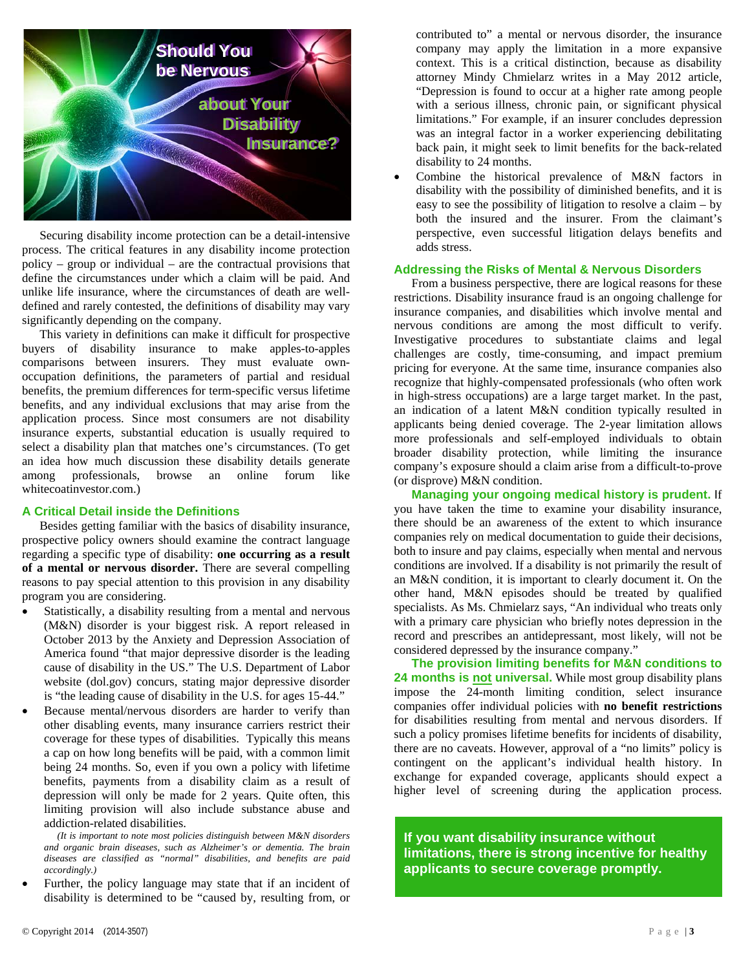

Securing disability income protection can be a detail-intensive process. The critical features in any disability income protection policy – group or individual – are the contractual provisions that define the circumstances under which a claim will be paid. And unlike life insurance, where the circumstances of death are welldefined and rarely contested, the definitions of disability may vary significantly depending on the company.

This variety in definitions can make it difficult for prospective buyers of disability insurance to make apples-to-apples comparisons between insurers. They must evaluate ownoccupation definitions, the parameters of partial and residual benefits, the premium differences for term-specific versus lifetime benefits, and any individual exclusions that may arise from the application process. Since most consumers are not disability insurance experts, substantial education is usually required to select a disability plan that matches one's circumstances. (To get an idea how much discussion these disability details generate among professionals, browse an online forum like whitecoatinvestor.com.)

#### **A Critical Detail inside the Definitions**

Besides getting familiar with the basics of disability insurance, prospective policy owners should examine the contract language regarding a specific type of disability: **one occurring as a result of a mental or nervous disorder.** There are several compelling reasons to pay special attention to this provision in any disability program you are considering.

- Statistically, a disability resulting from a mental and nervous (M&N) disorder is your biggest risk. A report released in October 2013 by the Anxiety and Depression Association of America found "that major depressive disorder is the leading cause of disability in the US." The U.S. Department of Labor website (dol.gov) concurs, stating major depressive disorder is "the leading cause of disability in the U.S. for ages 15-44."
- Because mental/nervous disorders are harder to verify than other disabling events, many insurance carriers restrict their coverage for these types of disabilities. Typically this means a cap on how long benefits will be paid, with a common limit being 24 months. So, even if you own a policy with lifetime benefits, payments from a disability claim as a result of depression will only be made for 2 years. Quite often, this limiting provision will also include substance abuse and addiction-related disabilities.

*(It is important to note most policies distinguish between M&N disorders and organic brain diseases, such as Alzheimer's or dementia. The brain diseases are classified as "normal" disabilities, and benefits are paid accordingly.)* 

 Further, the policy language may state that if an incident of disability is determined to be "caused by, resulting from, or

contributed to" a mental or nervous disorder, the insurance company may apply the limitation in a more expansive context. This is a critical distinction, because as disability attorney Mindy Chmielarz writes in a May 2012 article, "Depression is found to occur at a higher rate among people with a serious illness, chronic pain, or significant physical limitations." For example, if an insurer concludes depression was an integral factor in a worker experiencing debilitating back pain, it might seek to limit benefits for the back-related disability to 24 months.

 Combine the historical prevalence of M&N factors in disability with the possibility of diminished benefits, and it is easy to see the possibility of litigation to resolve a claim – by both the insured and the insurer. From the claimant's perspective, even successful litigation delays benefits and adds stress.

#### **Addressing the Risks of Mental & Nervous Disorders**

From a business perspective, there are logical reasons for these restrictions. Disability insurance fraud is an ongoing challenge for insurance companies, and disabilities which involve mental and nervous conditions are among the most difficult to verify. Investigative procedures to substantiate claims and legal challenges are costly, time-consuming, and impact premium pricing for everyone. At the same time, insurance companies also recognize that highly-compensated professionals (who often work in high-stress occupations) are a large target market. In the past, an indication of a latent M&N condition typically resulted in applicants being denied coverage. The 2-year limitation allows more professionals and self-employed individuals to obtain broader disability protection, while limiting the insurance company's exposure should a claim arise from a difficult-to-prove (or disprove) M&N condition.

**Managing your ongoing medical history is prudent.** If you have taken the time to examine your disability insurance, there should be an awareness of the extent to which insurance companies rely on medical documentation to guide their decisions, both to insure and pay claims, especially when mental and nervous conditions are involved. If a disability is not primarily the result of an M&N condition, it is important to clearly document it. On the other hand, M&N episodes should be treated by qualified specialists. As Ms. Chmielarz says, "An individual who treats only with a primary care physician who briefly notes depression in the record and prescribes an antidepressant, most likely, will not be considered depressed by the insurance company."

**The provision limiting benefits for M&N conditions to 24 months is not universal.** While most group disability plans impose the 24-month limiting condition, select insurance companies offer individual policies with **no benefit restrictions** for disabilities resulting from mental and nervous disorders. If such a policy promises lifetime benefits for incidents of disability, there are no caveats. However, approval of a "no limits" policy is contingent on the applicant's individual health history. In exchange for expanded coverage, applicants should expect a higher level of screening during the application process.

**If you want disability insurance without limitations, there is strong incentive for healthy applicants to secure coverage promptly.**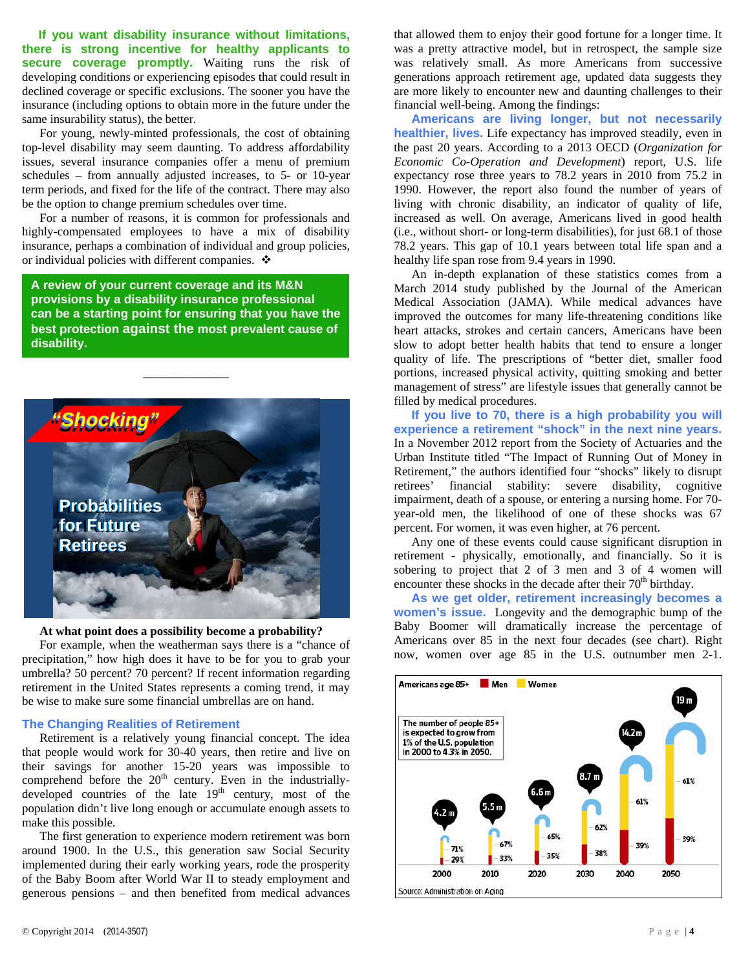**If you want disability insurance without limitations, there is strong incentive for healthy applicants to**  secure coverage promptly. Waiting runs the risk of developing conditions or experiencing episodes that could result in declined coverage or specific exclusions. The sooner you have the insurance (including options to obtain more in the future under the same insurability status), the better.

For young, newly-minted professionals, the cost of obtaining top-level disability may seem daunting. To address affordability issues, several insurance companies offer a menu of premium schedules – from annually adjusted increases, to 5- or 10-year term periods, and fixed for the life of the contract. There may also be the option to change premium schedules over time.

For a number of reasons, it is common for professionals and highly-compensated employees to have a mix of disability insurance, perhaps a combination of individual and group policies, or individual policies with different companies.  $\cdot$ 

**A review of your current coverage and its M&N provisions by a disability insurance professional can be a starting point for ensuring that you have the best protection against the most prevalent cause of disability.** 

\_\_\_\_\_\_\_\_\_\_\_\_\_\_



#### **At what point does a possibility become a probability?**

For example, when the weatherman says there is a "chance of precipitation," how high does it have to be for you to grab your umbrella? 50 percent? 70 percent? If recent information regarding retirement in the United States represents a coming trend, it may be wise to make sure some financial umbrellas are on hand.

#### **The Changing Realities of Retirement**

Retirement is a relatively young financial concept. The idea that people would work for 30-40 years, then retire and live on their savings for another 15-20 years was impossible to comprehend before the  $20<sup>th</sup>$  century. Even in the industriallydeveloped countries of the late  $19<sup>th</sup>$  century, most of the population didn't live long enough or accumulate enough assets to make this possible.

The first generation to experience modern retirement was born around 1900. In the U.S., this generation saw Social Security implemented during their early working years, rode the prosperity of the Baby Boom after World War II to steady employment and generous pensions – and then benefited from medical advances

that allowed them to enjoy their good fortune for a longer time. It was a pretty attractive model, but in retrospect, the sample size was relatively small. As more Americans from successive generations approach retirement age, updated data suggests they are more likely to encounter new and daunting challenges to their financial well-being. Among the findings:

**Americans are living longer, but not necessarily healthier, lives.** Life expectancy has improved steadily, even in the past 20 years. According to a 2013 OECD (*Organization for Economic Co-Operation and Development*) report, U.S. life expectancy rose three years to 78.2 years in 2010 from 75.2 in 1990. However, the report also found the number of years of living with chronic disability, an indicator of quality of life, increased as well. On average, Americans lived in good health (i.e., without short- or long-term disabilities), for just 68.1 of those 78.2 years. This gap of 10.1 years between total life span and a healthy life span rose from 9.4 years in 1990.

An in-depth explanation of these statistics comes from a March 2014 study published by the Journal of the American Medical Association (JAMA). While medical advances have improved the outcomes for many life-threatening conditions like heart attacks, strokes and certain cancers, Americans have been slow to adopt better health habits that tend to ensure a longer quality of life. The prescriptions of "better diet, smaller food portions, increased physical activity, quitting smoking and better management of stress" are lifestyle issues that generally cannot be filled by medical procedures.

**If you live to 70, there is a high probability you will experience a retirement "shock" in the next nine years.** In a November 2012 report from the Society of Actuaries and the Urban Institute titled "The Impact of Running Out of Money in Retirement," the authors identified four "shocks" likely to disrupt retirees' financial stability: severe disability, cognitive impairment, death of a spouse, or entering a nursing home. For 70 year-old men, the likelihood of one of these shocks was 67 percent. For women, it was even higher, at 76 percent.

Any one of these events could cause significant disruption in retirement - physically, emotionally, and financially. So it is sobering to project that 2 of 3 men and 3 of 4 women will encounter these shocks in the decade after their  $70<sup>th</sup>$  birthday.

**As we get older, retirement increasingly becomes a women's issue.** Longevity and the demographic bump of the Baby Boomer will dramatically increase the percentage of Americans over 85 in the next four decades (see chart). Right now, women over age 85 in the U.S. outnumber men 2-1.

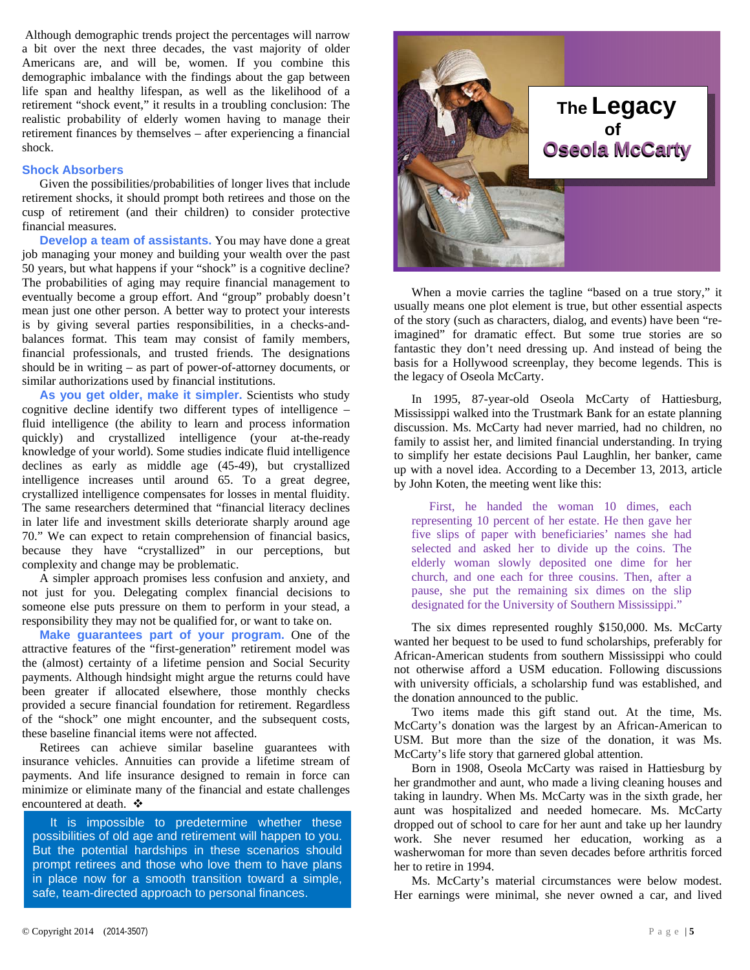Although demographic trends project the percentages will narrow a bit over the next three decades, the vast majority of older Americans are, and will be, women. If you combine this demographic imbalance with the findings about the gap between life span and healthy lifespan, as well as the likelihood of a retirement "shock event," it results in a troubling conclusion: The realistic probability of elderly women having to manage their retirement finances by themselves – after experiencing a financial shock.

#### **Shock Absorbers**

Given the possibilities/probabilities of longer lives that include retirement shocks, it should prompt both retirees and those on the cusp of retirement (and their children) to consider protective financial measures.

**Develop a team of assistants.** You may have done a great job managing your money and building your wealth over the past 50 years, but what happens if your "shock" is a cognitive decline? The probabilities of aging may require financial management to eventually become a group effort. And "group" probably doesn't mean just one other person. A better way to protect your interests is by giving several parties responsibilities, in a checks-andbalances format. This team may consist of family members, financial professionals, and trusted friends. The designations should be in writing – as part of power-of-attorney documents, or similar authorizations used by financial institutions.

**As you get older, make it simpler.** Scientists who study cognitive decline identify two different types of intelligence – fluid intelligence (the ability to learn and process information quickly) and crystallized intelligence (your at-the-ready knowledge of your world). Some studies indicate fluid intelligence declines as early as middle age (45-49), but crystallized intelligence increases until around 65. To a great degree, crystallized intelligence compensates for losses in mental fluidity. The same researchers determined that "financial literacy declines in later life and investment skills deteriorate sharply around age 70." We can expect to retain comprehension of financial basics, because they have "crystallized" in our perceptions, but complexity and change may be problematic.

A simpler approach promises less confusion and anxiety, and not just for you. Delegating complex financial decisions to someone else puts pressure on them to perform in your stead, a responsibility they may not be qualified for, or want to take on.

**Make guarantees part of your program.** One of the attractive features of the "first-generation" retirement model was the (almost) certainty of a lifetime pension and Social Security payments. Although hindsight might argue the returns could have been greater if allocated elsewhere, those monthly checks provided a secure financial foundation for retirement. Regardless of the "shock" one might encounter, and the subsequent costs, these baseline financial items were not affected.

Retirees can achieve similar baseline guarantees with insurance vehicles. Annuities can provide a lifetime stream of payments. And life insurance designed to remain in force can minimize or eliminate many of the financial and estate challenges encountered at death.  $\cdot$ 

It is impossible to predetermine whether these possibilities of old age and retirement will happen to you. But the potential hardships in these scenarios should prompt retirees and those who love them to have plans in place now for a smooth transition toward a simple, safe, team-directed approach to personal finances.



When a movie carries the tagline "based on a true story," it usually means one plot element is true, but other essential aspects of the story (such as characters, dialog, and events) have been "reimagined" for dramatic effect. But some true stories are so fantastic they don't need dressing up. And instead of being the basis for a Hollywood screenplay, they become legends. This is the legacy of Oseola McCarty.

In 1995, 87-year-old Oseola McCarty of Hattiesburg, Mississippi walked into the Trustmark Bank for an estate planning discussion. Ms. McCarty had never married, had no children, no family to assist her, and limited financial understanding. In trying to simplify her estate decisions Paul Laughlin, her banker, came up with a novel idea. According to a December 13, 2013, article by John Koten, the meeting went like this:

First, he handed the woman 10 dimes, each representing 10 percent of her estate. He then gave her five slips of paper with beneficiaries' names she had selected and asked her to divide up the coins. The elderly woman slowly deposited one dime for her church, and one each for three cousins. Then, after a pause, she put the remaining six dimes on the slip designated for the University of Southern Mississippi."

The six dimes represented roughly \$150,000. Ms. McCarty wanted her bequest to be used to fund scholarships, preferably for African-American students from southern Mississippi who could not otherwise afford a USM education. Following discussions with university officials, a scholarship fund was established, and the donation announced to the public.

Two items made this gift stand out. At the time, Ms. McCarty's donation was the largest by an African-American to USM. But more than the size of the donation, it was Ms. McCarty's life story that garnered global attention.

Born in 1908, Oseola McCarty was raised in Hattiesburg by her grandmother and aunt, who made a living cleaning houses and taking in laundry. When Ms. McCarty was in the sixth grade, her aunt was hospitalized and needed homecare. Ms. McCarty dropped out of school to care for her aunt and take up her laundry work. She never resumed her education, working as a washerwoman for more than seven decades before arthritis forced her to retire in 1994.

Ms. McCarty's material circumstances were below modest. Her earnings were minimal, she never owned a car, and lived